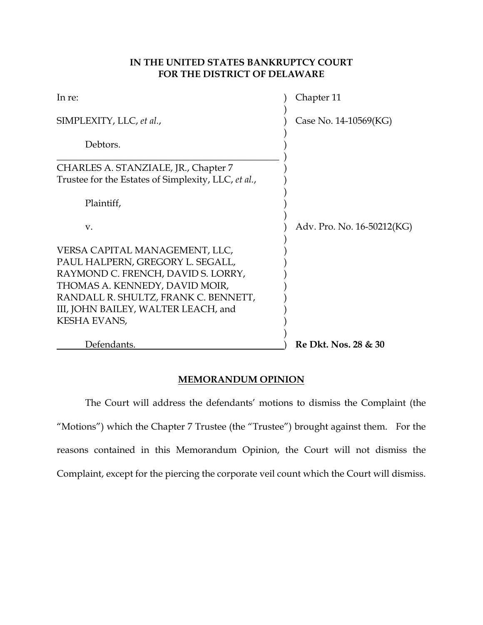# **IN THE UNITED STATES BANKRUPTCY COURT FOR THE DISTRICT OF DELAWARE**

| In re:                                              | Chapter 11                 |
|-----------------------------------------------------|----------------------------|
| SIMPLEXITY, LLC, et al.,                            | Case No. 14-10569(KG)      |
| Debtors.                                            |                            |
| CHARLES A. STANZIALE, JR., Chapter 7                |                            |
| Trustee for the Estates of Simplexity, LLC, et al., |                            |
| Plaintiff,                                          |                            |
| $V_{\cdot}$                                         | Adv. Pro. No. 16-50212(KG) |
| VERSA CAPITAL MANAGEMENT, LLC,                      |                            |
| PAUL HALPERN, GREGORY L. SEGALL,                    |                            |
| RAYMOND C. FRENCH, DAVID S. LORRY,                  |                            |
| THOMAS A. KENNEDY, DAVID MOIR,                      |                            |
| RANDALL R. SHULTZ, FRANK C. BENNETT,                |                            |
| III, JOHN BAILEY, WALTER LEACH, and                 |                            |
| KESHA EVANS,                                        |                            |
| Defendants.                                         | Re Dkt. Nos. 28 & 30       |
|                                                     |                            |

# **MEMORANDUM OPINION**

 The Court will address the defendants' motions to dismiss the Complaint (the "Motions") which the Chapter 7 Trustee (the "Trustee") brought against them. For the reasons contained in this Memorandum Opinion, the Court will not dismiss the Complaint, except for the piercing the corporate veil count which the Court will dismiss.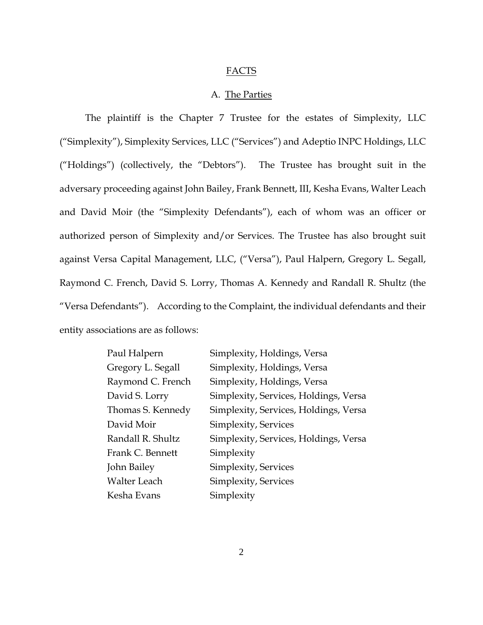## FACTS

### A. The Parties

 The plaintiff is the Chapter 7 Trustee for the estates of Simplexity, LLC ("Simplexity"), Simplexity Services, LLC ("Services") and Adeptio INPC Holdings, LLC ("Holdings") (collectively, the "Debtors"). The Trustee has brought suit in the adversary proceeding against John Bailey, Frank Bennett, III, Kesha Evans, Walter Leach and David Moir (the "Simplexity Defendants"), each of whom was an officer or authorized person of Simplexity and/or Services. The Trustee has also brought suit against Versa Capital Management, LLC, ("Versa"), Paul Halpern, Gregory L. Segall, Raymond C. French, David S. Lorry, Thomas A. Kennedy and Randall R. Shultz (the "Versa Defendants"). According to the Complaint, the individual defendants and their entity associations are as follows:

| Paul Halpern        | Simplexity, Holdings, Versa           |
|---------------------|---------------------------------------|
| Gregory L. Segall   | Simplexity, Holdings, Versa           |
| Raymond C. French   | Simplexity, Holdings, Versa           |
| David S. Lorry      | Simplexity, Services, Holdings, Versa |
| Thomas S. Kennedy   | Simplexity, Services, Holdings, Versa |
| David Moir          | Simplexity, Services                  |
| Randall R. Shultz   | Simplexity, Services, Holdings, Versa |
| Frank C. Bennett    | Simplexity                            |
| John Bailey         | Simplexity, Services                  |
| <b>Walter Leach</b> | Simplexity, Services                  |
| Kesha Evans         | Simplexity                            |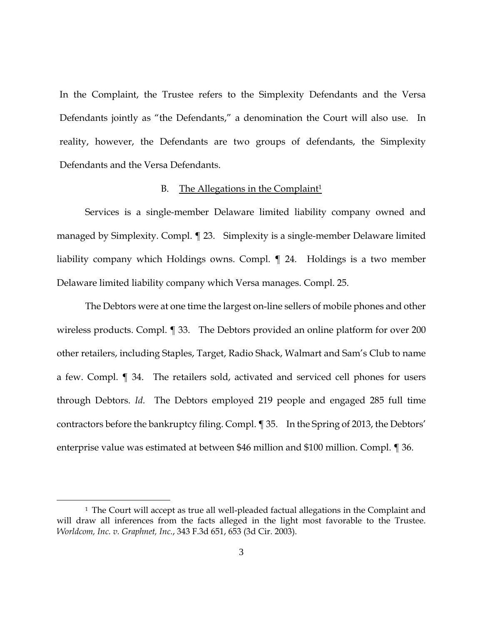In the Complaint, the Trustee refers to the Simplexity Defendants and the Versa Defendants jointly as "the Defendants," a denomination the Court will also use. In reality, however, the Defendants are two groups of defendants, the Simplexity Defendants and the Versa Defendants.

### B. The Allegations in the Complaint<sup>1</sup>

 Services is a single-member Delaware limited liability company owned and managed by Simplexity. Compl. ¶ 23. Simplexity is a single-member Delaware limited liability company which Holdings owns. Compl. ¶ 24. Holdings is a two member Delaware limited liability company which Versa manages. Compl. 25.

 The Debtors were at one time the largest on-line sellers of mobile phones and other wireless products. Compl. ¶ 33. The Debtors provided an online platform for over 200 other retailers, including Staples, Target, Radio Shack, Walmart and Sam's Club to name a few. Compl. ¶ 34. The retailers sold, activated and serviced cell phones for users through Debtors. *Id.* The Debtors employed 219 people and engaged 285 full time contractors before the bankruptcy filing. Compl. ¶ 35. In the Spring of 2013, the Debtors' enterprise value was estimated at between \$46 million and \$100 million. Compl. ¶ 36.

 $\overline{a}$ 

<sup>&</sup>lt;sup>1</sup> The Court will accept as true all well-pleaded factual allegations in the Complaint and will draw all inferences from the facts alleged in the light most favorable to the Trustee. *Worldcom, Inc. v. Graphnet, Inc.*, 343 F.3d 651, 653 (3d Cir. 2003).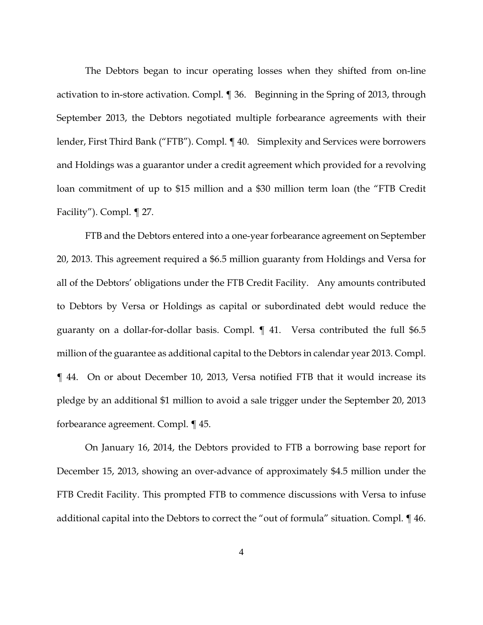The Debtors began to incur operating losses when they shifted from on-line activation to in-store activation. Compl. ¶ 36. Beginning in the Spring of 2013, through September 2013, the Debtors negotiated multiple forbearance agreements with their lender, First Third Bank ("FTB"). Compl. ¶ 40. Simplexity and Services were borrowers and Holdings was a guarantor under a credit agreement which provided for a revolving loan commitment of up to \$15 million and a \$30 million term loan (the "FTB Credit Facility"). Compl. ¶ 27.

FTB and the Debtors entered into a one-year forbearance agreement on September 20, 2013. This agreement required a \$6.5 million guaranty from Holdings and Versa for all of the Debtors' obligations under the FTB Credit Facility. Any amounts contributed to Debtors by Versa or Holdings as capital or subordinated debt would reduce the guaranty on a dollar-for-dollar basis. Compl. ¶ 41. Versa contributed the full \$6.5 million of the guarantee as additional capital to the Debtors in calendar year 2013. Compl. ¶ 44. On or about December 10, 2013, Versa notified FTB that it would increase its pledge by an additional \$1 million to avoid a sale trigger under the September 20, 2013 forbearance agreement. Compl. ¶ 45.

On January 16, 2014, the Debtors provided to FTB a borrowing base report for December 15, 2013, showing an over-advance of approximately \$4.5 million under the FTB Credit Facility. This prompted FTB to commence discussions with Versa to infuse additional capital into the Debtors to correct the "out of formula" situation. Compl. ¶ 46.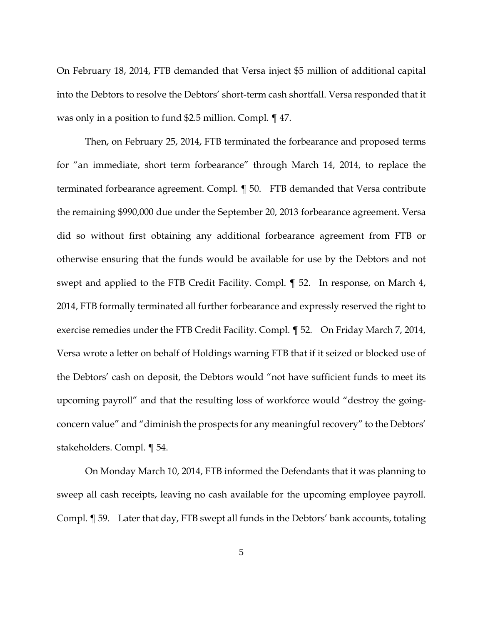On February 18, 2014, FTB demanded that Versa inject \$5 million of additional capital into the Debtors to resolve the Debtors' short-term cash shortfall. Versa responded that it was only in a position to fund \$2.5 million. Compl. ¶ 47.

Then, on February 25, 2014, FTB terminated the forbearance and proposed terms for "an immediate, short term forbearance" through March 14, 2014, to replace the terminated forbearance agreement. Compl. ¶ 50. FTB demanded that Versa contribute the remaining \$990,000 due under the September 20, 2013 forbearance agreement. Versa did so without first obtaining any additional forbearance agreement from FTB or otherwise ensuring that the funds would be available for use by the Debtors and not swept and applied to the FTB Credit Facility. Compl. ¶ 52. In response, on March 4, 2014, FTB formally terminated all further forbearance and expressly reserved the right to exercise remedies under the FTB Credit Facility. Compl. ¶ 52. On Friday March 7, 2014, Versa wrote a letter on behalf of Holdings warning FTB that if it seized or blocked use of the Debtors' cash on deposit, the Debtors would "not have sufficient funds to meet its upcoming payroll" and that the resulting loss of workforce would "destroy the goingconcern value" and "diminish the prospects for any meaningful recovery" to the Debtors' stakeholders. Compl. ¶ 54.

On Monday March 10, 2014, FTB informed the Defendants that it was planning to sweep all cash receipts, leaving no cash available for the upcoming employee payroll. Compl. ¶ 59. Later that day, FTB swept all funds in the Debtors' bank accounts, totaling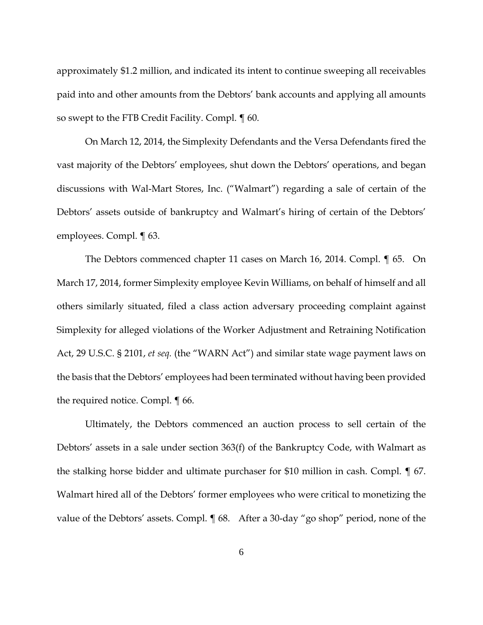approximately \$1.2 million, and indicated its intent to continue sweeping all receivables paid into and other amounts from the Debtors' bank accounts and applying all amounts so swept to the FTB Credit Facility. Compl. ¶ 60.

On March 12, 2014, the Simplexity Defendants and the Versa Defendants fired the vast majority of the Debtors' employees, shut down the Debtors' operations, and began discussions with Wal-Mart Stores, Inc. ("Walmart") regarding a sale of certain of the Debtors' assets outside of bankruptcy and Walmart's hiring of certain of the Debtors' employees. Compl. ¶ 63.

The Debtors commenced chapter 11 cases on March 16, 2014. Compl. ¶ 65. On March 17, 2014, former Simplexity employee Kevin Williams, on behalf of himself and all others similarly situated, filed a class action adversary proceeding complaint against Simplexity for alleged violations of the Worker Adjustment and Retraining Notification Act, 29 U.S.C. § 2101, *et seq.* (the "WARN Act") and similar state wage payment laws on the basis that the Debtors' employees had been terminated without having been provided the required notice. Compl. ¶ 66.

Ultimately, the Debtors commenced an auction process to sell certain of the Debtors' assets in a sale under section 363(f) of the Bankruptcy Code, with Walmart as the stalking horse bidder and ultimate purchaser for \$10 million in cash. Compl. ¶ 67. Walmart hired all of the Debtors' former employees who were critical to monetizing the value of the Debtors' assets. Compl. ¶ 68. After a 30-day "go shop" period, none of the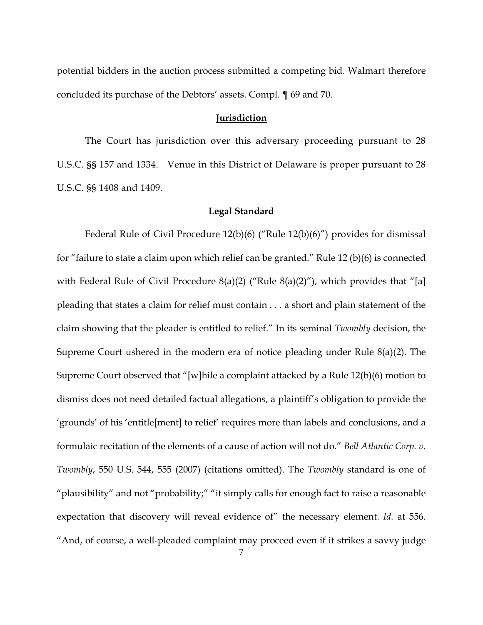potential bidders in the auction process submitted a competing bid. Walmart therefore concluded its purchase of the Debtors' assets. Compl. ¶ 69 and 70.

### **Jurisdiction**

 The Court has jurisdiction over this adversary proceeding pursuant to 28 U.S.C. §§ 157 and 1334. Venue in this District of Delaware is proper pursuant to 28 U.S.C. §§ 1408 and 1409.

#### **Legal Standard**

 Federal Rule of Civil Procedure 12(b)(6) ("Rule 12(b)(6)") provides for dismissal for "failure to state a claim upon which relief can be granted." Rule 12 (b)(6) is connected with Federal Rule of Civil Procedure  $8(a)(2)$  ("Rule  $8(a)(2)$ "), which provides that "[a] pleading that states a claim for relief must contain . . . a short and plain statement of the claim showing that the pleader is entitled to relief." In its seminal *Twombly* decision, the Supreme Court ushered in the modern era of notice pleading under Rule 8(a)(2). The Supreme Court observed that "[w]hile a complaint attacked by a Rule 12(b)(6) motion to dismiss does not need detailed factual allegations, a plaintiff's obligation to provide the 'grounds' of his 'entitle[ment] to relief' requires more than labels and conclusions, and a formulaic recitation of the elements of a cause of action will not do." *Bell Atlantic Corp. v. Twombly*, 550 U.S. 544, 555 (2007) (citations omitted). The *Twombly* standard is one of "plausibility" and not "probability;" "it simply calls for enough fact to raise a reasonable expectation that discovery will reveal evidence of" the necessary element. *Id.* at 556. "And, of course, a well-pleaded complaint may proceed even if it strikes a savvy judge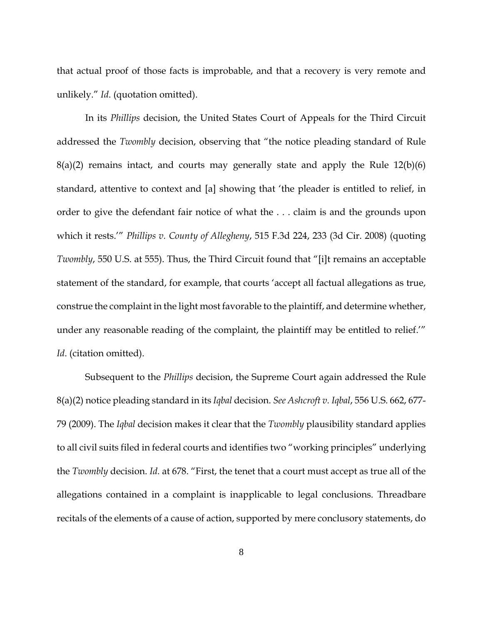that actual proof of those facts is improbable, and that a recovery is very remote and unlikely." *Id*. (quotation omitted).

 In its *Phillips* decision, the United States Court of Appeals for the Third Circuit addressed the *Twombly* decision, observing that "the notice pleading standard of Rule  $8(a)(2)$  remains intact, and courts may generally state and apply the Rule  $12(b)(6)$ standard, attentive to context and [a] showing that 'the pleader is entitled to relief, in order to give the defendant fair notice of what the . . . claim is and the grounds upon which it rests.'" *Phillips v. County of Allegheny*, 515 F.3d 224, 233 (3d Cir. 2008) (quoting *Twombly*, 550 U.S. at 555). Thus, the Third Circuit found that "[i]t remains an acceptable statement of the standard, for example, that courts 'accept all factual allegations as true, construe the complaint in the light most favorable to the plaintiff, and determine whether, under any reasonable reading of the complaint, the plaintiff may be entitled to relief.'" *Id*. (citation omitted).

 Subsequent to the *Phillips* decision, the Supreme Court again addressed the Rule 8(a)(2) notice pleading standard in its *Iqbal* decision. *See Ashcroft v. Iqbal*, 556 U.S. 662, 677- 79 (2009). The *Iqbal* decision makes it clear that the *Twombly* plausibility standard applies to all civil suits filed in federal courts and identifies two "working principles" underlying the *Twombly* decision. *Id.* at 678. "First, the tenet that a court must accept as true all of the allegations contained in a complaint is inapplicable to legal conclusions. Threadbare recitals of the elements of a cause of action, supported by mere conclusory statements, do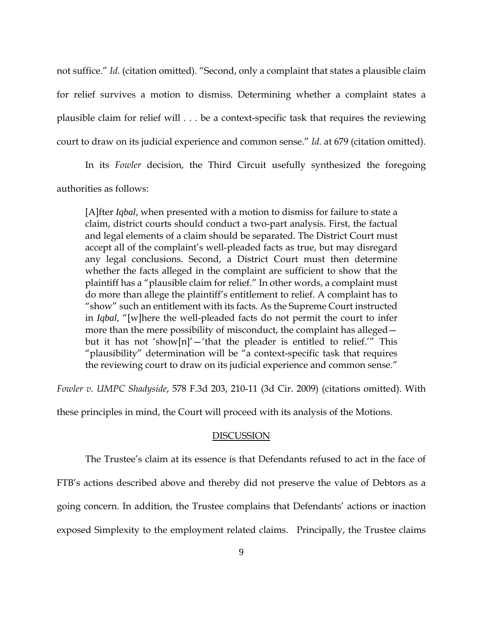not suffice." *Id*. (citation omitted). "Second, only a complaint that states a plausible claim for relief survives a motion to dismiss. Determining whether a complaint states a plausible claim for relief will . . . be a context-specific task that requires the reviewing court to draw on its judicial experience and common sense." *Id.* at 679 (citation omitted).

 In its *Fowler* decision, the Third Circuit usefully synthesized the foregoing authorities as follows:

[A]fter *Iqbal,* when presented with a motion to dismiss for failure to state a claim, district courts should conduct a two-part analysis. First, the factual and legal elements of a claim should be separated. The District Court must accept all of the complaint's well-pleaded facts as true, but may disregard any legal conclusions. Second, a District Court must then determine whether the facts alleged in the complaint are sufficient to show that the plaintiff has a "plausible claim for relief." In other words, a complaint must do more than allege the plaintiff's entitlement to relief. A complaint has to "show" such an entitlement with its facts. As the Supreme Court instructed in *Iqbal,* "[w]here the well-pleaded facts do not permit the court to infer more than the mere possibility of misconduct, the complaint has alleged but it has not 'show[n]'  $-$ 'that the pleader is entitled to relief.'" This "plausibility" determination will be "a context-specific task that requires the reviewing court to draw on its judicial experience and common sense."

*Fowler v. UMPC Shadyside*, 578 F.3d 203, 210-11 (3d Cir. 2009) (citations omitted). With

these principles in mind, the Court will proceed with its analysis of the Motions.

#### DISCUSSION

 The Trustee's claim at its essence is that Defendants refused to act in the face of FTB's actions described above and thereby did not preserve the value of Debtors as a going concern. In addition, the Trustee complains that Defendants' actions or inaction

exposed Simplexity to the employment related claims. Principally, the Trustee claims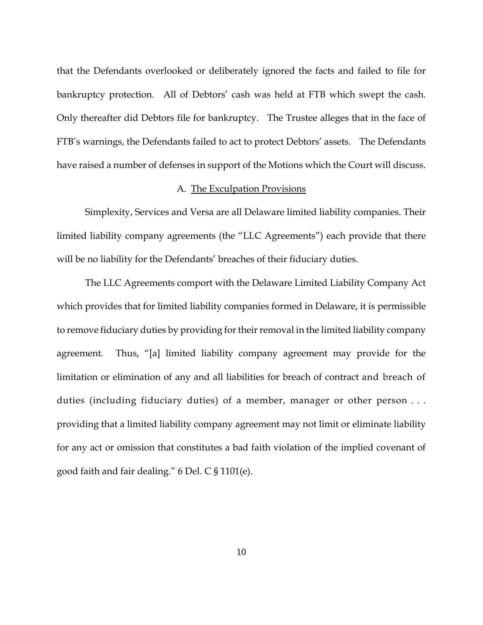that the Defendants overlooked or deliberately ignored the facts and failed to file for bankruptcy protection. All of Debtors' cash was held at FTB which swept the cash. Only thereafter did Debtors file for bankruptcy. The Trustee alleges that in the face of FTB's warnings, the Defendants failed to act to protect Debtors' assets. The Defendants have raised a number of defenses in support of the Motions which the Court will discuss.

### A. The Exculpation Provisions

 Simplexity, Services and Versa are all Delaware limited liability companies. Their limited liability company agreements (the "LLC Agreements") each provide that there will be no liability for the Defendants' breaches of their fiduciary duties.

 The LLC Agreements comport with the Delaware Limited Liability Company Act which provides that for limited liability companies formed in Delaware, it is permissible to remove fiduciary duties by providing for their removal in the limited liability company agreement. Thus, "[a] limited liability company agreement may provide for the limitation or elimination of any and all liabilities for breach of contract and breach of duties (including fiduciary duties) of a member, manager or other person . . . providing that a limited liability company agreement may not limit or eliminate liability for any act or omission that constitutes a bad faith violation of the implied covenant of good faith and fair dealing." 6 Del. C § 1101(e).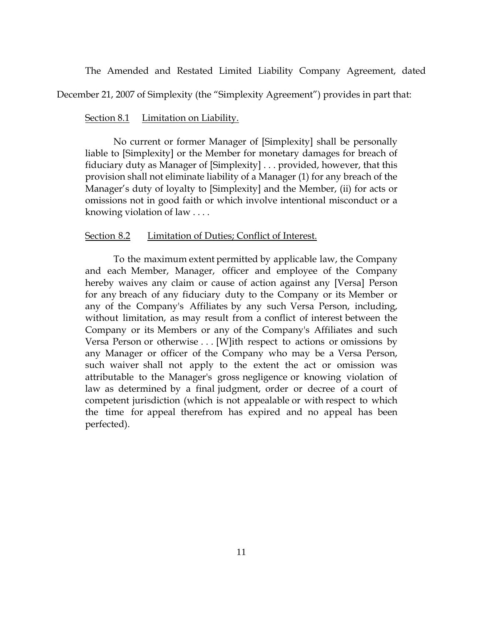The Amended and Restated Limited Liability Company Agreement, dated

December 21, 2007 of Simplexity (the "Simplexity Agreement") provides in part that:

### Section 8.1 Limitation on Liability.

 No current or former Manager of [Simplexity] shall be personally liable to [Simplexity] or the Member for monetary damages for breach of fiduciary duty as Manager of [Simplexity] . . . provided, however, that this provision shall not eliminate liability of a Manager (1) for any breach of the Manager's duty of loyalty to [Simplexity] and the Member, (ii) for acts or omissions not in good faith or which involve intentional misconduct or a knowing violation of law . . . .

#### Section 8.2 Limitation of Duties; Conflict of Interest.

To the maximum extent permitted by applicable law, the Company and each Member, Manager, officer and employee of the Company hereby waives any claim or cause of action against any [Versa] Person for any breach of any fiduciary duty to the Company or its Member or any of the Company's Affiliates by any such Versa Person, including, without limitation, as may result from a conflict of interest between the Company or its Members or any of the Company's Affiliates and such Versa Person or otherwise  $\dots$  [W]ith respect to actions or omissions by any Manager or officer of the Company who may be a Versa Person, such waiver shall not apply to the extent the act or omission was attributable to the Manager's gross negligence or knowing violation of law as determined by a final judgment, order or decree of a court of competent jurisdiction (which is not appealable or with respect to which the time for appeal therefrom has expired and no appeal has been perfected).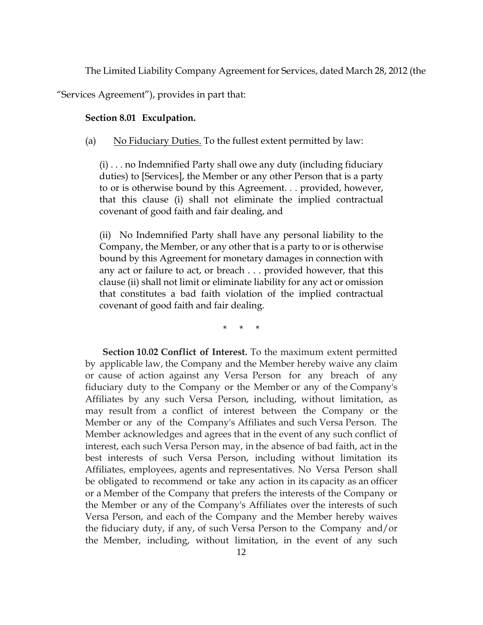The Limited Liability Company Agreement for Services, dated March 28, 2012 (the

"Services Agreement"), provides in part that:

### **Section 8.01 Exculpation.**

## (a) No Fiduciary Duties. To the fullest extent permitted by law:

(i) . . . no Indemnified Party shall owe any duty (including fiduciary duties) to [Services], the Member or any other Person that is a party to or is otherwise bound by this Agreement. . . provided, however, that this clause (i) shall not eliminate the implied contractual covenant of good faith and fair dealing, and

(ii) No Indemnified Party shall have any personal liability to the Company, the Member, or any other that is a party to or is otherwise bound by this Agreement for monetary damages in connection with any act or failure to act, or breach . . . provided however, that this clause (ii) shall not limit or eliminate liability for any act or omission that constitutes a bad faith violation of the implied contractual covenant of good faith and fair dealing.

\* \* \*

 **Section 10.02 Conflict of Interest.** To the maximum extent permitted by applicable law, the Company and the Member hereby waive any claim or cause of action against any Versa Person for any breach of any fiduciary duty to the Company or the Member or any of the Company's Affiliates by any such Versa Person, including, without limitation, as may result from a conflict of interest between the Company or the Member or any of the Company's Affiliates and such Versa Person. The Member acknowledges and agrees that in the event of any such conflict of interest, each such Versa Person may, in the absence of bad faith, act in the best interests of such Versa Person, including without limitation its Affiliates, employees, agents and representatives. No Versa Person shall be obligated to recommend or take any action in its capacity as an officer or a Member of the Company that prefers the interests of the Company or the Member or any of the Company's Affiliates over the interests of such Versa Person, and each of the Company and the Member hereby waives the fiduciary duty, if any, of such Versa Person to the Company and/or the Member, including, without limitation, in the event of any such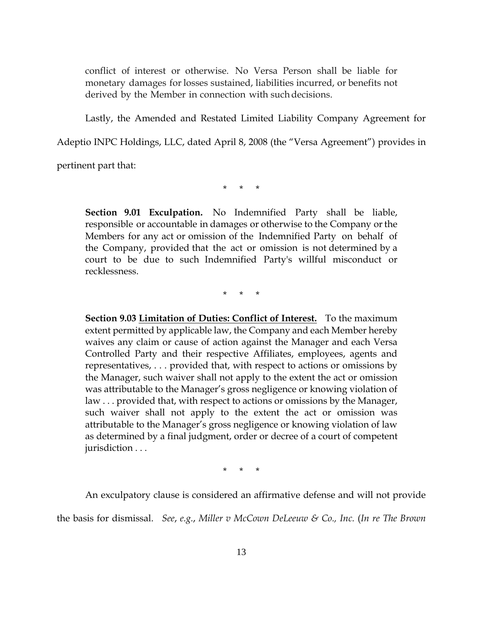conflict of interest or otherwise. No Versa Person shall be liable for monetary damages for losses sustained, liabilities incurred, or benefits not derived by the Member in connection with such decisions.

Lastly, the Amended and Restated Limited Liability Company Agreement for

Adeptio INPC Holdings, LLC, dated April 8, 2008 (the "Versa Agreement") provides in

pertinent part that:

\* \* \*

**Section 9.01 Exculpation.** No Indemnified Party shall be liable, responsible or accountable in damages or otherwise to the Company or the Members for any act or omission of the Indemnified Party on behalf of the Company, provided that the act or omission is not determined by a court to be due to such Indemnified Party's willful misconduct or recklessness.

\* \* \*

**Section 9.03 Limitation of Duties: Conflict of Interest.** To the maximum extent permitted by applicable law, the Company and each Member hereby waives any claim or cause of action against the Manager and each Versa Controlled Party and their respective Affiliates, employees, agents and representatives, . . . provided that, with respect to actions or omissions by the Manager, such waiver shall not apply to the extent the act or omission was attributable to the Manager's gross negligence or knowing violation of law . . . provided that, with respect to actions or omissions by the Manager, such waiver shall not apply to the extent the act or omission was attributable to the Manager's gross negligence or knowing violation of law as determined by a final judgment, order or decree of a court of competent jurisdiction . . .

\* \* \*

An exculpatory clause is considered an affirmative defense and will not provide

the basis for dismissal. *See*, *e.g.*, *Miller v McCown DeLeeuw & Co., Inc.* (*In re The Brown*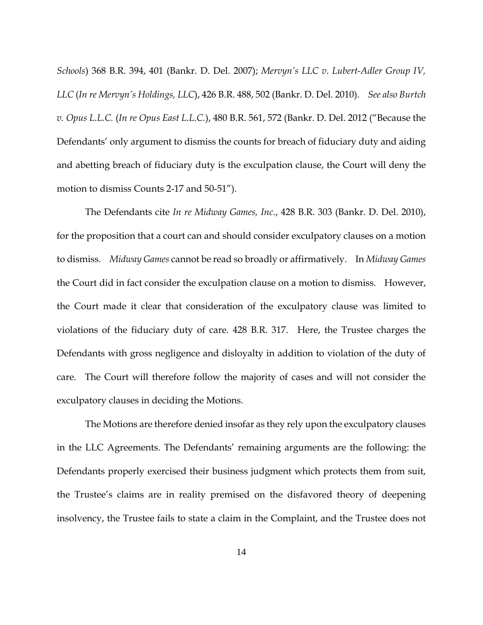*Schools*) 368 B.R. 394, 401 (Bankr. D. Del. 2007); *Mervyn's LLC v. Lubert-Adler Group IV, LLC* (*In re Mervyn's Holdings, LLC*), 426 B.R. 488, 502 (Bankr. D. Del. 2010). *See also Burtch v. Opus L.L.C.* (*In re Opus East L.L.C.*), 480 B.R. 561, 572 (Bankr. D. Del. 2012 ("Because the Defendants' only argument to dismiss the counts for breach of fiduciary duty and aiding and abetting breach of fiduciary duty is the exculpation clause, the Court will deny the motion to dismiss Counts 2-17 and 50-51").

 The Defendants cite *In re Midway Games, Inc.*, 428 B.R. 303 (Bankr. D. Del. 2010), for the proposition that a court can and should consider exculpatory clauses on a motion to dismiss. *Midway Games* cannot be read so broadly or affirmatively. In *Midway Games* the Court did in fact consider the exculpation clause on a motion to dismiss. However, the Court made it clear that consideration of the exculpatory clause was limited to violations of the fiduciary duty of care. 428 B.R. 317. Here, the Trustee charges the Defendants with gross negligence and disloyalty in addition to violation of the duty of care. The Court will therefore follow the majority of cases and will not consider the exculpatory clauses in deciding the Motions.

 The Motions are therefore denied insofar as they rely upon the exculpatory clauses in the LLC Agreements. The Defendants' remaining arguments are the following: the Defendants properly exercised their business judgment which protects them from suit, the Trustee's claims are in reality premised on the disfavored theory of deepening insolvency, the Trustee fails to state a claim in the Complaint, and the Trustee does not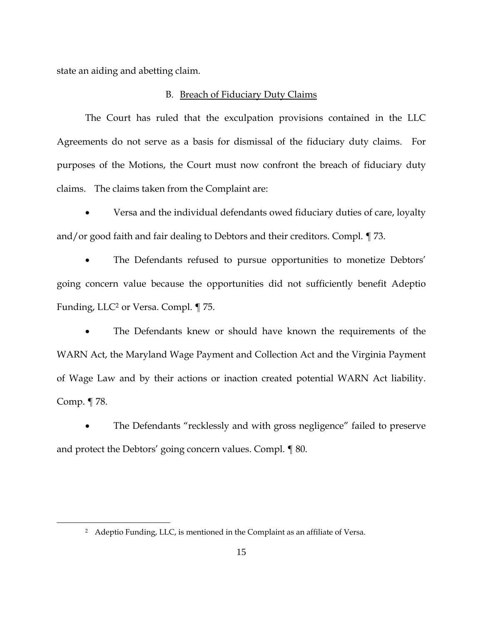state an aiding and abetting claim.

 $\overline{a}$ 

### B. Breach of Fiduciary Duty Claims

 The Court has ruled that the exculpation provisions contained in the LLC Agreements do not serve as a basis for dismissal of the fiduciary duty claims. For purposes of the Motions, the Court must now confront the breach of fiduciary duty claims. The claims taken from the Complaint are:

 Versa and the individual defendants owed fiduciary duties of care, loyalty and/or good faith and fair dealing to Debtors and their creditors. Compl. ¶ 73.

 The Defendants refused to pursue opportunities to monetize Debtors' going concern value because the opportunities did not sufficiently benefit Adeptio Funding, LLC<sup>2</sup> or Versa. Compl. ¶ 75.

 The Defendants knew or should have known the requirements of the WARN Act, the Maryland Wage Payment and Collection Act and the Virginia Payment of Wage Law and by their actions or inaction created potential WARN Act liability. Comp. ¶ 78.

 The Defendants "recklessly and with gross negligence" failed to preserve and protect the Debtors' going concern values. Compl. ¶ 80.

<sup>&</sup>lt;sup>2</sup> Adeptio Funding, LLC, is mentioned in the Complaint as an affiliate of Versa.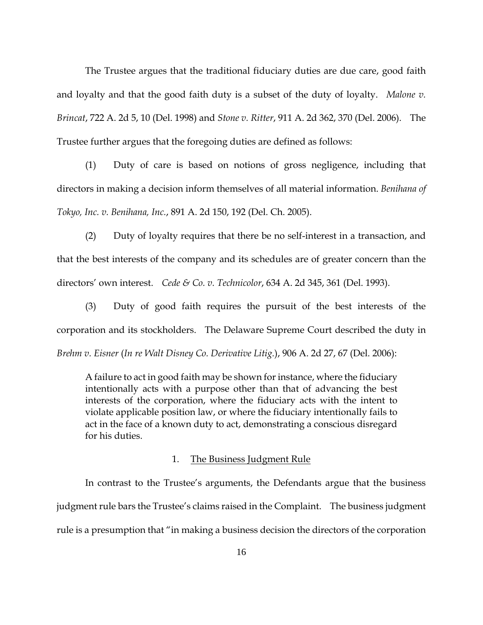The Trustee argues that the traditional fiduciary duties are due care, good faith and loyalty and that the good faith duty is a subset of the duty of loyalty. *Malone v. Brincat*, 722 A. 2d 5, 10 (Del. 1998) and *Stone v. Ritter*, 911 A. 2d 362, 370 (Del. 2006). The Trustee further argues that the foregoing duties are defined as follows:

(1) Duty of care is based on notions of gross negligence, including that directors in making a decision inform themselves of all material information. *Benihana of Tokyo, Inc. v. Benihana, Inc.*, 891 A. 2d 150, 192 (Del. Ch. 2005).

(2) Duty of loyalty requires that there be no self-interest in a transaction, and that the best interests of the company and its schedules are of greater concern than the directors' own interest. *Cede & Co. v. Technicolor*, 634 A. 2d 345, 361 (Del. 1993).

(3) Duty of good faith requires the pursuit of the best interests of the corporation and its stockholders. The Delaware Supreme Court described the duty in *Brehm v. Eisner* (*In re Walt Disney Co. Derivative Litig.*), 906 A. 2d 27, 67 (Del. 2006):

A failure to act in good faith may be shown for instance, where the fiduciary intentionally acts with a purpose other than that of advancing the best interests of the corporation, where the fiduciary acts with the intent to violate applicable position law, or where the fiduciary intentionally fails to act in the face of a known duty to act, demonstrating a conscious disregard for his duties.

#### 1. The Business Judgment Rule

In contrast to the Trustee's arguments, the Defendants argue that the business judgment rule bars the Trustee's claims raised in the Complaint. The business judgment rule is a presumption that "in making a business decision the directors of the corporation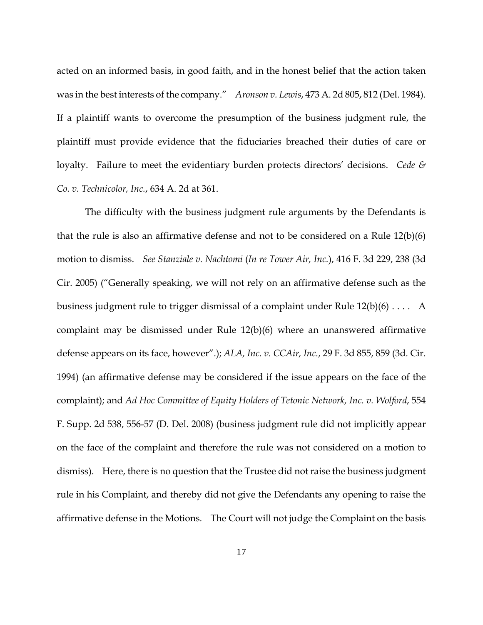acted on an informed basis, in good faith, and in the honest belief that the action taken was in the best interests of the company." *Aronson v. Lewis*, 473 A. 2d 805, 812 (Del. 1984). If a plaintiff wants to overcome the presumption of the business judgment rule, the plaintiff must provide evidence that the fiduciaries breached their duties of care or loyalty. Failure to meet the evidentiary burden protects directors' decisions. *Cede & Co. v. Technicolor, Inc.*, 634 A. 2d at 361.

The difficulty with the business judgment rule arguments by the Defendants is that the rule is also an affirmative defense and not to be considered on a Rule 12(b)(6) motion to dismiss. *See Stanziale v. Nachtomi* (*In re Tower Air, Inc.*), 416 F. 3d 229, 238 (3d Cir. 2005) ("Generally speaking, we will not rely on an affirmative defense such as the business judgment rule to trigger dismissal of a complaint under Rule 12(b)(6) . . . . A complaint may be dismissed under Rule 12(b)(6) where an unanswered affirmative defense appears on its face, however".); *ALA, Inc. v. CCAir, Inc.*, 29 F. 3d 855, 859 (3d. Cir. 1994) (an affirmative defense may be considered if the issue appears on the face of the complaint); and *Ad Hoc Committee of Equity Holders of Tetonic Network, Inc. v. Wolford*, 554 F. Supp. 2d 538, 556-57 (D. Del. 2008) (business judgment rule did not implicitly appear on the face of the complaint and therefore the rule was not considered on a motion to dismiss). Here, there is no question that the Trustee did not raise the business judgment rule in his Complaint, and thereby did not give the Defendants any opening to raise the affirmative defense in the Motions. The Court will not judge the Complaint on the basis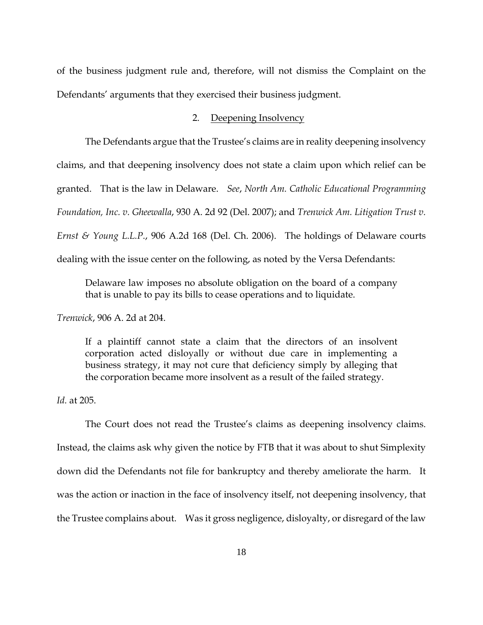of the business judgment rule and, therefore, will not dismiss the Complaint on the Defendants' arguments that they exercised their business judgment.

## 2. Deepening Insolvency

The Defendants argue that the Trustee's claims are in reality deepening insolvency claims, and that deepening insolvency does not state a claim upon which relief can be granted. That is the law in Delaware. *See*, *North Am. Catholic Educational Programming Foundation, Inc. v. Gheewalla*, 930 A. 2d 92 (Del. 2007); and *Trenwick Am. Litigation Trust v. Ernst & Young L.L.P.*, 906 A.2d 168 (Del. Ch. 2006). The holdings of Delaware courts dealing with the issue center on the following, as noted by the Versa Defendants:

Delaware law imposes no absolute obligation on the board of a company that is unable to pay its bills to cease operations and to liquidate.

*Trenwick*, 906 A. 2d at 204.

If a plaintiff cannot state a claim that the directors of an insolvent corporation acted disloyally or without due care in implementing a business strategy, it may not cure that deficiency simply by alleging that the corporation became more insolvent as a result of the failed strategy.

*Id.* at 205.

 The Court does not read the Trustee's claims as deepening insolvency claims. Instead, the claims ask why given the notice by FTB that it was about to shut Simplexity down did the Defendants not file for bankruptcy and thereby ameliorate the harm. It was the action or inaction in the face of insolvency itself, not deepening insolvency, that the Trustee complains about. Was it gross negligence, disloyalty, or disregard of the law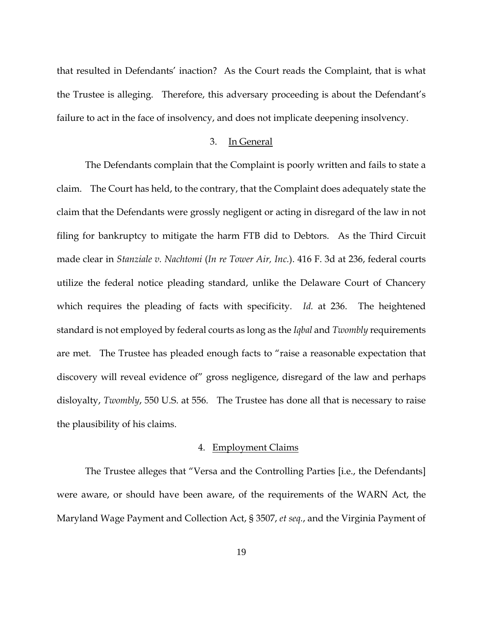that resulted in Defendants' inaction? As the Court reads the Complaint, that is what the Trustee is alleging. Therefore, this adversary proceeding is about the Defendant's failure to act in the face of insolvency, and does not implicate deepening insolvency.

#### 3. In General

 The Defendants complain that the Complaint is poorly written and fails to state a claim. The Court has held, to the contrary, that the Complaint does adequately state the claim that the Defendants were grossly negligent or acting in disregard of the law in not filing for bankruptcy to mitigate the harm FTB did to Debtors. As the Third Circuit made clear in *Stanziale v. Nachtomi* (*In re Tower Air, Inc.*). 416 F. 3d at 236, federal courts utilize the federal notice pleading standard, unlike the Delaware Court of Chancery which requires the pleading of facts with specificity. *Id.* at 236. The heightened standard is not employed by federal courts as long as the *Iqbal* and *Twombly* requirements are met. The Trustee has pleaded enough facts to "raise a reasonable expectation that discovery will reveal evidence of" gross negligence, disregard of the law and perhaps disloyalty, *Twombly*, 550 U.S. at 556. The Trustee has done all that is necessary to raise the plausibility of his claims.

## 4. Employment Claims

The Trustee alleges that "Versa and the Controlling Parties [i.e., the Defendants] were aware, or should have been aware, of the requirements of the WARN Act, the Maryland Wage Payment and Collection Act, § 3507, *et seq.*, and the Virginia Payment of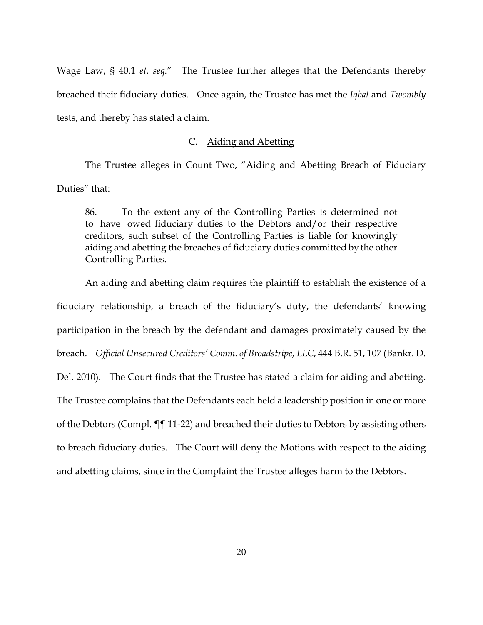Wage Law, § 40.1 *et. seq.*" The Trustee further alleges that the Defendants thereby breached their fiduciary duties. Once again, the Trustee has met the *Iqbal* and *Twombly* tests, and thereby has stated a claim.

## C. Aiding and Abetting

The Trustee alleges in Count Two, "Aiding and Abetting Breach of Fiduciary Duties" that:

86. To the extent any of the Controlling Parties is determined not to have owed fiduciary duties to the Debtors and/or their respective creditors, such subset of the Controlling Parties is liable for knowingly aiding and abetting the breaches of fiduciary duties committed by the other Controlling Parties.

An aiding and abetting claim requires the plaintiff to establish the existence of a fiduciary relationship, a breach of the fiduciary's duty, the defendants' knowing participation in the breach by the defendant and damages proximately caused by the breach. *Official Unsecured Creditors' Comm. of Broadstripe, LLC*, 444 B.R. 51, 107 (Bankr. D. Del. 2010). The Court finds that the Trustee has stated a claim for aiding and abetting. The Trustee complains that the Defendants each held a leadership position in one or more of the Debtors (Compl. ¶¶ 11-22) and breached their duties to Debtors by assisting others to breach fiduciary duties. The Court will deny the Motions with respect to the aiding and abetting claims, since in the Complaint the Trustee alleges harm to the Debtors.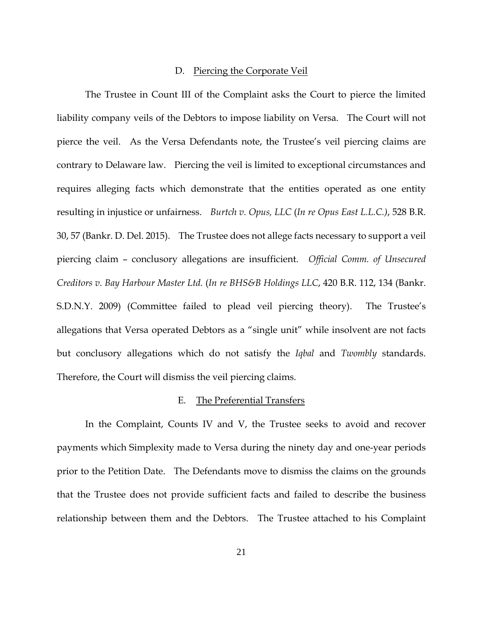### D. Piercing the Corporate Veil

The Trustee in Count III of the Complaint asks the Court to pierce the limited liability company veils of the Debtors to impose liability on Versa. The Court will not pierce the veil. As the Versa Defendants note, the Trustee's veil piercing claims are contrary to Delaware law. Piercing the veil is limited to exceptional circumstances and requires alleging facts which demonstrate that the entities operated as one entity resulting in injustice or unfairness. *Burtch v. Opus, LLC* (*In re Opus East L.L.C.)*, 528 B.R. 30, 57 (Bankr. D. Del. 2015). The Trustee does not allege facts necessary to support a veil piercing claim – conclusory allegations are insufficient. *Official Comm. of Unsecured Creditors v. Bay Harbour Master Ltd.* (*In re BHS&B Holdings LLC*, 420 B.R. 112, 134 (Bankr. S.D.N.Y. 2009) (Committee failed to plead veil piercing theory). The Trustee's allegations that Versa operated Debtors as a "single unit" while insolvent are not facts but conclusory allegations which do not satisfy the *Iqbal* and *Twombly* standards. Therefore, the Court will dismiss the veil piercing claims.

#### E. The Preferential Transfers

In the Complaint, Counts IV and V, the Trustee seeks to avoid and recover payments which Simplexity made to Versa during the ninety day and one-year periods prior to the Petition Date. The Defendants move to dismiss the claims on the grounds that the Trustee does not provide sufficient facts and failed to describe the business relationship between them and the Debtors. The Trustee attached to his Complaint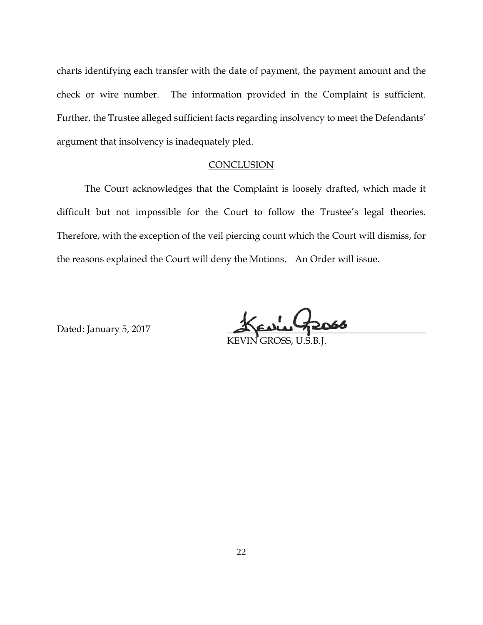charts identifying each transfer with the date of payment, the payment amount and the check or wire number. The information provided in the Complaint is sufficient. Further, the Trustee alleged sufficient facts regarding insolvency to meet the Defendants' argument that insolvency is inadequately pled.

#### **CONCLUSION**

 The Court acknowledges that the Complaint is loosely drafted, which made it difficult but not impossible for the Court to follow the Trustee's legal theories. Therefore, with the exception of the veil piercing count which the Court will dismiss, for the reasons explained the Court will deny the Motions. An Order will issue.

Dated: January 5, 2017

KEVIN GROSS, U.S.B.J.